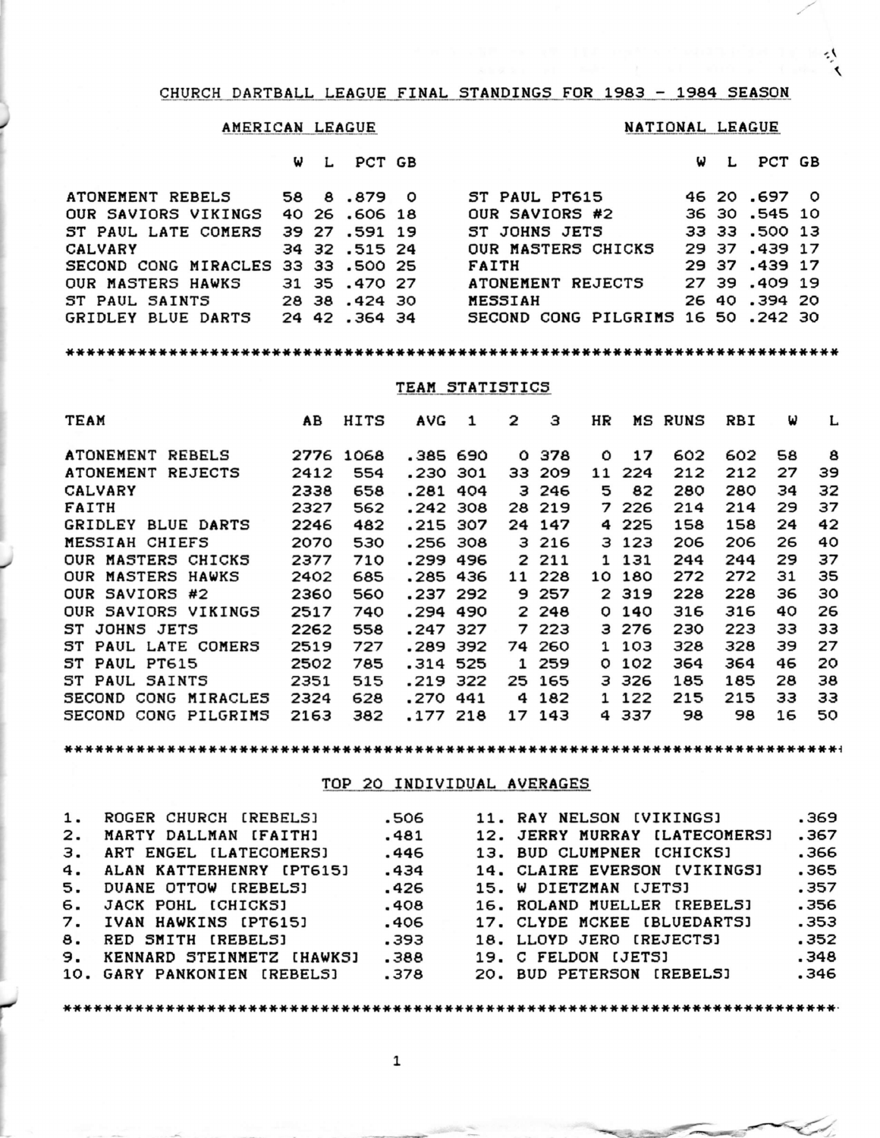#### CHURCH DARTBALL LEAGUE FINAL STANDINGS FOR 1983 - 1984 SEASON

## AMERICAN LEAGUE

### NATIONAL LEAGUE

W L PCT GB

| W | L | PCT GB |  |
|---|---|--------|--|
|   |   |        |  |

٠Ņ  $\triangleleft$ 

| ATONEMENT REBELS                   |  | 58 8 879 0    | ST PAUL PT615                      |  | 46 20.697 0   |  |
|------------------------------------|--|---------------|------------------------------------|--|---------------|--|
| OUR SAVIORS VIKINGS                |  | 40 26 .606 18 | OUR SAVIORS #2                     |  | 36 30.545 10  |  |
| ST PAUL LATE COMERS                |  | 39 27 .591 19 | ST JOHNS JETS                      |  | 33 33 .500 13 |  |
| <b>CALVARY</b>                     |  | 34 32 .515 24 | OUR MASTERS CHICKS                 |  | 29 37 .439 17 |  |
| SECOND CONG MIRACLES 33 33 .500 25 |  |               | <b>FAITH</b>                       |  | 29 37 .439 17 |  |
| OUR MASTERS HAWKS                  |  | 31 35 .470 27 | ATONEMENT REJECTS                  |  | 27 39 .409 19 |  |
| ST PAUL SAINTS 28 38 .424 30       |  |               | <b>MESSIAH</b>                     |  | 26 40 .394 20 |  |
| GRIDLEY BLUE DARTS                 |  | 24 42 .364 34 | SECOND CONG PILGRIMS 16 50 .242 30 |  |               |  |

### TEAM STATISTICS

| <b>TEAM</b>          | AB   | HITS | AVG      | 1 | 2 | з      | HR           | MS    | RUNS | RBI | ω  | L  |
|----------------------|------|------|----------|---|---|--------|--------------|-------|------|-----|----|----|
| ATONEMENT REBELS     | 2776 | 1068 | .385 690 |   | 0 | 378    | O            | 17    | 602  | 602 | 58 | 8  |
| ATONEMENT REJECTS    | 2412 | 554  | .230 301 |   |   | 33 209 | 11           | 224   | 212  | 212 | 27 | 39 |
| <b>CALVARY</b>       | 2338 | 658  | .281 404 |   |   | 3 246  | 5.           | 82    | 280  | 280 | 34 | 32 |
| FAITH                | 2327 | 562  | .242 308 |   |   | 28 219 |              | 7 226 | 214  | 214 | 29 | 37 |
| GRIDLEY BLUE DARTS   | 2246 | 482  | .215 307 |   |   | 24 147 |              | 4 225 | 158  | 158 | 24 | 42 |
| MESSIAH CHIEFS       | 2070 | 530  | .256 308 |   |   | 3 216  |              | 3 123 | 206  | 206 | 26 | 40 |
| OUR MASTERS CHICKS   | 2377 | 710  | .299 496 |   |   | 2 211  |              | 1 131 | 244  | 244 | 29 | 37 |
| OUR MASTERS HAWKS    | 2402 | 685  | .285 436 |   |   | 11 228 | 10           | 180   | 272  | 272 | 31 | 35 |
| OUR SAVIORS #2       | 2360 | 560  | .237 292 |   |   | 9 257  |              | 2 319 | 228  | 228 | 36 | 30 |
| OUR SAVIORS VIKINGS  | 2517 | 740  | .294 490 |   |   | 2 248  | 0            | 140   | 316  | 316 | 40 | 26 |
| ST JOHNS JETS        | 2262 | 558  | .247 327 |   |   | 7223   |              | 3 276 | 230  | 223 | зз | зз |
| ST PAUL LATE COMERS  | 2519 | 727  | .289 392 |   |   | 74 260 |              | 1 103 | 328  | 328 | 39 | 27 |
| ST PAUL PT615        | 2502 | 785  | .314 525 |   |   | 1 259  | 0            | 102   | 364  | 364 | 46 | 20 |
| ST PAUL SAINTS       | 2351 | 515  | .219 322 |   |   | 25 165 |              | 3326  | 185  | 185 | 28 | 38 |
| SECOND CONG MIRACLES | 2324 | 628  | .270 441 |   |   | 4 182  | $\mathbf{1}$ | 122   | 215  | 215 | зз | зз |
| SECOND CONG PILGRIMS | 2163 | 382  | .177 218 |   |   | 17 143 |              | 4337  | 98   | 98  | 16 | 50 |

TOP 20 INDIVIDUAL AVERAGES

| 1. ROGER CHURCH [REBELS]     | .506 | <b>11. RAY NELSON [VIKINGS]</b> | .369  |
|------------------------------|------|---------------------------------|-------|
| 2. MARTY DALLMAN [FAITH]     | .481 | 12. JERRY MURRAY [LATECOMERS]   | .367  |
| 3. ART ENGEL [LATECOMERS]    | .446 | 13. BUD CLUMPNER [CHICKS]       | . 366 |
| 4. ALAN KATTERHENRY (PT615)  | .434 | 14. CLAIRE EVERSON [VIKINGS]    | .365  |
| 5. DUANE OTTOW (REBELS)      | .426 | 15. W DIETZMAN [JETS]           | .357  |
| 6. JACK POHL (CHICKS)        | .408 | 16. ROLAND MUELLER [REBELS]     | .356  |
| 7. IVAN HAWKINS (PT615)      | .406 | 17. CLYDE MCKEE [BLUEDARTS]     | .353  |
| 8. RED SMITH (REBELS)        | .393 | 18. LLOYD JERO (REJECTS)        | .352  |
| 9. KENNARD STEINMETZ (HAWKS) | .388 | 19. C FELDON [JETS]             | .348  |
| 10. GARY PANKONIEN [REBELS]  | .378 | 20. BUD PETERSON [REBELS]       | .346  |
|                              |      |                                 |       |

 $\mathbf 1$